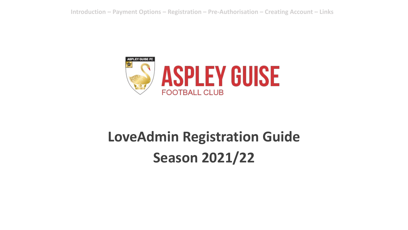

# **LoveAdmin Registration Guide Season 2021/22**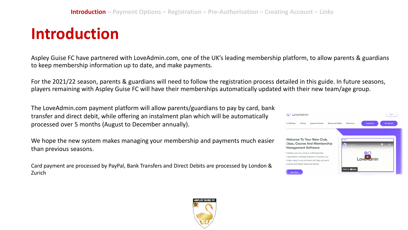#### **Introduction**

Aspley Guise FC have partnered with LoveAdmin.com, one of the UK's leading membership platform, to allow parents & guardians to keep membership information up to date, and make payments.

For the 2021/22 season, parents & guardians will need to follow the registration process detailed in this guide. In future seasons, players remaining with Aspley Guise FC will have their memberships automatically updated with their new team/age group.

The LoveAdmin.com payment platform will allow parents/guardians to pay by card, bank transfer and direct debit, while offering an instalment plan which will be automatically processed over 5 months (August to December annually).

We hope the new system makes managing your membership and payments much easier than previous seasons.

Card payment are processed by PayPal, Bank Transfers and Direct Debits are processed by London & Zurich



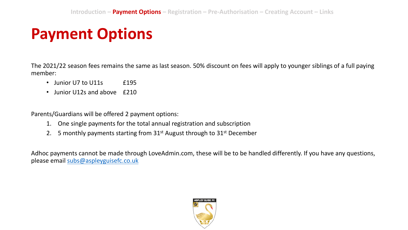## **Payment Options**

The 2021/22 season fees remains the same as last season. 50% discount on fees will apply to younger siblings of a full paying member:

- Junior U7 to U11s **£195**
- Junior U12s and above £210

Parents/Guardians will be offered 2 payment options:

- 1. One single payments for the total annual registration and subscription
- 2. 5 monthly payments starting from  $31<sup>st</sup>$  August through to  $31<sup>st</sup>$  December

Adhoc payments cannot be made through LoveAdmin.com, these will be to be handled differently. If you have any questions, please email [subs@aspleyguisefc.co.uk](mailto:subs@aspleyguisefc.co.uk)

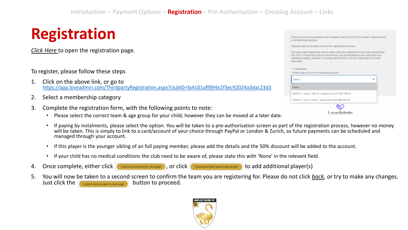## **Registration**

*[Click Here](https://app.loveadmin.com/ThirdpartyRegistration.aspx?clubID=fa4101aff894e2f3ec92024a3dac23d3)* to open the registration page.

To register, please follow these steps

- 1. Click on the above link, or go to <https://app.loveadmin.com/ThirdpartyRegistration.aspx?clubID=fa4101aff894e2f3ec92024a3dac23d3>
- 2. Select a membership category
- 3. Complete the registration form, with the following points to note:
	- Please select the correct team & age group for your child, however they can be moved at a later date.
- Thank you for joining Aspley Guide Football Club for the 2021/22 season. Please select a membership category. Payment will not be taken during this registration process. The subscription payment can be made once your registration has been accepted by the club. If choosing to pay by instalments, you will be asked to pre-authorise your card/bank details, however no money will be taken until the registration has been approved. \* = Mandatory Please select one of the following options: \* Select  $\checkmark$ Select 2021/22 - Junior - U8-11s - Aspley Guise FC GBP 195.00 2021/22 - Youth - U12s+ - Aspley Guise FC GBP 210.00  $\otimes$ oveAdmin
	- If paying by instalments, please select the option. You will be taken to a pre-authorisation screen as part of the registration process, however no money will be taken. This is simply to link to a card/account of your choice through PayPal or London & Zurich, so future payments can be scheduled and managed through your account.
	- If this player is the younger sibling of an full paying member, please add the details and the 50% discount will be added to the account.
	- If your child has no medical conditions the club need to be aware of, please state this with 'None' in the relevant field.
- 4. Once complete, either click  $\blacksquare$  submit and proceed to next page , or click  $\blacksquare$  submit and add additional people  $\blacksquare$  to add additional player(s)

5. You will now be taken to a second screen to confirm the team you are registering for. Please do not click *back*, or try to make any changes. Just click the submit and proceed to next page button to proceed.

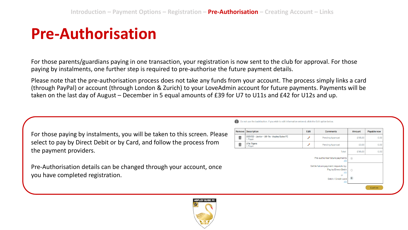#### **Pre-Authorisation**

For those parents/guardians paying in one transaction, your registration is now sent to the club for approval. For those paying by instalments, one further step is required to pre-authorise the future payment details.

Please note that the pre-authorisation process does not take any funds from your account. The process simply links a card (through PayPal) or account (through London & Zurich) to your LoveAdmin account for future payments. Payments will be taken on the last day of August – December in 5 equal amounts of £39 for U7 to U11s and £42 for U12s and up.

For those paying by instalments, you will be taken to this screen. Please select to pay by Direct Debit or by Card, and follow the process from the payment providers.

Pre-Authorisation details can be changed through your account, once you have completed registration.

| <b>Description</b>                                       | Edit          | <b>Comments</b>                                                  | Amount                                                                      | Payable now |
|----------------------------------------------------------|---------------|------------------------------------------------------------------|-----------------------------------------------------------------------------|-------------|
| 2021/22 - Junior - U8-11s - Aspley Guise FC<br>1, Player | $\mathscr{P}$ | <b>Pending Approval</b>                                          | £195.00                                                                     | 0.00        |
| <b>Ulls Tigers</b><br>1, Player                          | $\mathscr{P}$ | <b>Pending Approval</b>                                          | £0.00                                                                       | 0.00        |
| Total                                                    |               |                                                                  | £195.00                                                                     | 0.00        |
|                                                          |               |                                                                  | $\overline{\omega}$                                                         |             |
|                                                          |               | Pay by Direct Debit<br>Info<br>or<br>Debit / Credit card<br>Info | $\bigcirc$                                                                  |             |
|                                                          |               |                                                                  | Pre-authorise future payments<br>Info<br>Settle future payment requests by: |             |

Do not use the back button. If you wish to edit information entered, click the Edit option below

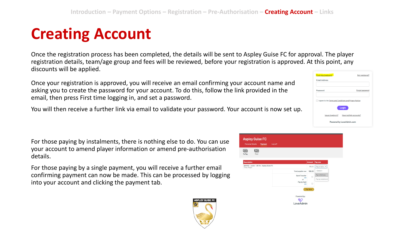## **Creating Account**

Once the registration process has been completed, the details will be sent to Aspley Guise FC for approval. The player registration details, team/age group and fees will be reviewed, before your registration is approved. At this point, any discounts will be applied.

Once your registration is approved, you will receive an email confirming your account name and asking you to create the password for your account. To do this, follow the link provided in the email, then press First time logging in, and set a password.

You will then receive a further link via email to validate your password. Your account is now set up.

For those paying by instalments, there is nothing else to do. You can use your account to amend player information or amend pre-authorisation details.

For those paying by a single payment, you will receive a further email confirming payment can now be made. This can be processed by logging into your account and clicking the payment tab.